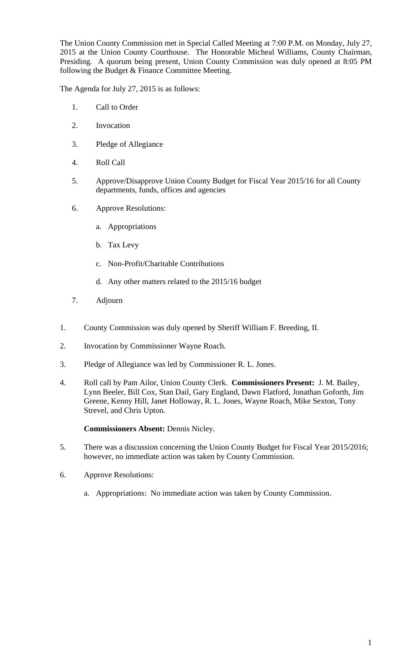The Union County Commission met in Special Called Meeting at 7:00 P.M. on Monday, July 27, 2015 at the Union County Courthouse. The Honorable Micheal Williams, County Chairman, Presiding. A quorum being present, Union County Commission was duly opened at 8:05 PM following the Budget & Finance Committee Meeting.

The Agenda for July 27, 2015 is as follows:

- 1. Call to Order
- 2. Invocation
- 3. Pledge of Allegiance
- 4. Roll Call
- 5. Approve/Disapprove Union County Budget for Fiscal Year 2015/16 for all County departments, funds, offices and agencies
- 6. Approve Resolutions:
	- a. Appropriations
	- b. Tax Levy
	- c. Non-Profit/Charitable Contributions
	- d. Any other matters related to the 2015/16 budget
- 7. Adjourn
- 1. County Commission was duly opened by Sheriff William F. Breeding, II.
- 2. Invocation by Commissioner Wayne Roach.
- 3. Pledge of Allegiance was led by Commissioner R. L. Jones.
- 4. Roll call by Pam Ailor, Union County Clerk. **Commissioners Present:** J. M. Bailey, Lynn Beeler, Bill Cox, Stan Dail, Gary England, Dawn Flatford, Jonathan Goforth, Jim Greene, Kenny Hill, Janet Holloway, R. L. Jones, Wayne Roach, Mike Sexton, Tony Strevel, and Chris Upton.

## **Commissioners Absent:** Dennis Nicley.

- 5. There was a discussion concerning the Union County Budget for Fiscal Year 2015/2016; however, no immediate action was taken by County Commission.
- 6. Approve Resolutions:
	- a. Appropriations: No immediate action was taken by County Commission.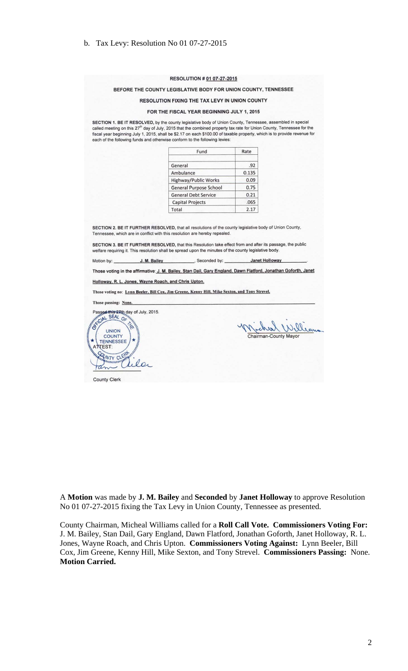#### RESOLUTION # 01 07-27-2015

## BEFORE THE COUNTY LEGISLATIVE BODY FOR UNION COUNTY, TENNESSEE

### RESOLUTION FIXING THE TAX LEVY IN UNION COUNTY

#### FOR THE FISCAL YEAR BEGINNING JULY 1, 2015

SECTION 1. BE IT RESOLVED, by the county legislative body of Union County, Tennessee, assembled in special called meeting on this 27<sup>th</sup> day of July, 2015 that the combined property tax rate for Union County, Tennessee for the fiscal year beginning July 1, 2015, shall be \$2.17 on each \$100.00 of taxable property, which is to provide revenue for each of the following funds and otherwise conform to the following levies:

| Fund                        | Rate  |
|-----------------------------|-------|
| General                     | .92   |
| Ambulance                   | 0.135 |
| <b>Highway/Public Works</b> | 0.09  |
| General Purpose School      | 0.75  |
| <b>General Debt Service</b> | 0.21  |
| <b>Capital Projects</b>     | .065  |
| Total                       | 2.17  |

SECTION 2. BE IT FURTHER RESOLVED, that all resolutions of the county legislative body of Union County, Tennessee, which are in conflict with this resolution are hereby repealed.

SECTION 3. BE IT FURTHER RESOLVED, that this Resolution take effect from and after its passage, the public welfare requiring it. This resolution shall be spread upon the minutes of the county legislative body.

Motion by: J. M. Bailey , Seconded by: **Janet Holloway** 

Those voting in the affirmative: J. M. Bailey, Stan Dail, Gary England, Dawn Flatford, Jonathan Goforth, Janet

Holloway, R. L. Jones, Wayne Roach, and Chris Upton.

Those voting no: Lynn Beeler, Bill Cox, Jim Greene, Kenny Hill, Mike Sexton, and Tony Strevel.

Those passing: None

COUNTY **TENNESSEE TEST:** COUNTY

**Passed th** ls 27th day of July, 2015. CIAL SEAL OF **UNION** 

CLER

aller

when William Chairman-County Mayor

County Clerk

A Motion was made by J. M. Bailey and Seconded by Janet Holloway to approve Resolution No 01 07-27-2015 fixing the Tax Levy in Union County, Tennessee as presented.

County Chairman, Micheal Williams called for a Roll Call Vote. Commissioners Voting For: J. M. Bailey, Stan Dail, Gary England, Dawn Flatford, Jonathan Goforth, Janet Holloway, R. L. Jones, Wayne Roach, and Chris Upton. Commissioners Voting Against: Lynn Beeler, Bill Cox, Jim Greene, Kenny Hill, Mike Sexton, and Tony Strevel. Commissioners Passing: None. **Motion Carried.**